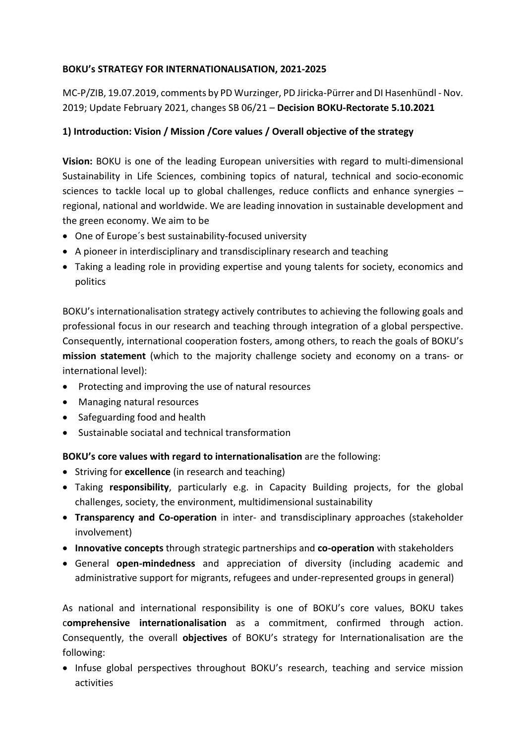#### **BOKU's STRATEGY FOR INTERNATIONALISATION, 2021-2025**

MC-P/ZIB, 19.07.2019, comments by PD Wurzinger, PD Jiricka-Pürrer and DI Hasenhündl - Nov. 2019; Update February 2021, changes SB 06/21 – **Decision BOKU-Rectorate 5.10.2021**

### **1) Introduction: Vision / Mission /Core values / Overall objective of the strategy**

**Vision:** BOKU is one of the leading European universities with regard to multi-dimensional Sustainability in Life Sciences, combining topics of natural, technical and socio-economic sciences to tackle local up to global challenges, reduce conflicts and enhance synergies – regional, national and worldwide. We are leading innovation in sustainable development and the green economy. We aim to be

- One of Europe´s best sustainability-focused university
- A pioneer in interdisciplinary and transdisciplinary research and teaching
- Taking a leading role in providing expertise and young talents for society, economics and politics

BOKU's internationalisation strategy actively contributes to achieving the following goals and professional focus in our research and teaching through integration of a global perspective. Consequently, international cooperation fosters, among others, to reach the goals of BOKU's **mission statement** (which to the majority challenge society and economy on a trans- or international level):

- Protecting and improving the use of natural resources
- Managing natural resources
- Safeguarding food and health
- Sustainable sociatal and technical transformation

**BOKU's core values with regard to internationalisation** are the following:

- Striving for **excellence** (in research and teaching)
- Taking **responsibility**, particularly e.g. in Capacity Building projects, for the global challenges, society, the environment, multidimensional sustainability
- **Transparency and Co-operation** in inter- and transdisciplinary approaches (stakeholder involvement)
- **Innovative concepts** through strategic partnerships and **co-operation** with stakeholders
- General **open-mindedness** and appreciation of diversity (including academic and administrative support for migrants, refugees and under-represented groups in general)

As national and international responsibility is one of BOKU's core values, BOKU takes c**omprehensive internationalisation** as a commitment, confirmed through action. Consequently, the overall **objectives** of BOKU's strategy for Internationalisation are the following:

• Infuse global perspectives throughout BOKU's research, teaching and service mission activities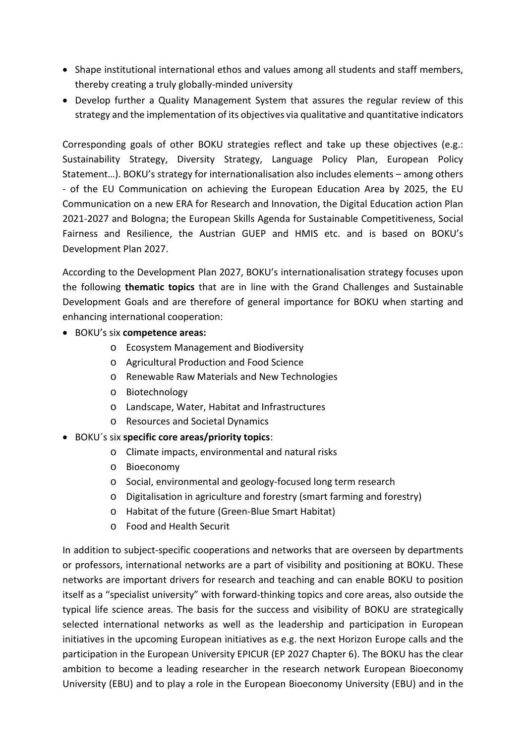- Shape institutional international ethos and values among all students and staff members, thereby creating a truly globally-minded university
- Develop further a Quality Management System that assures the regular review of this strategy and the implementation of its objectives via qualitative and quantitative indicators

Corresponding goals of other BOKU strategies reflect and take up these objectives (e.g.: Sustainability Strategy, Diversity Strategy, Language Policy Plan, European Policy Statement…). BOKU's strategy for internationalisation also includes elements – among others - of the EU Communication on achieving the European Education Area by 2025, the EU Communication on a new ERA for Research and Innovation, the Digital Education action Plan 2021-2027 and Bologna; the European Skills Agenda for Sustainable Competitiveness, Social Fairness and Resilience, the Austrian GUEP and HMIS etc. and is based on BOKU's Development Plan 2027.

According to the Development Plan 2027, BOKU's internationalisation strategy focuses upon the following **thematic topics** that are in line with the Grand Challenges and Sustainable Development Goals and are therefore of general importance for BOKU when starting and enhancing international cooperation:

- BOKU's six **competence areas:**
	- o Ecosystem Management and Biodiversity
	- o Agricultural Production and Food Science
	- o Renewable Raw Materials and New Technologies
	- o Biotechnology
	- o Landscape, Water, Habitat and Infrastructures
	- o Resources and Societal Dynamics
- BOKU´s six **specific core areas/priority topics**:
	- o Climate impacts, environmental and natural risks
	- o Bioeconomy
	- o Social, environmental and geology-focused long term research
	- o Digitalisation in agriculture and forestry (smart farming and forestry)
	- o Habitat of the future (Green-Blue Smart Habitat)
	- o Food and Health Securit

In addition to subject-specific cooperations and networks that are overseen by departments or professors, international networks are a part of visibility and positioning at BOKU. These networks are important drivers for research and teaching and can enable BOKU to position itself as a "specialist university" with forward-thinking topics and core areas, also outside the typical life science areas. The basis for the success and visibility of BOKU are strategically selected international networks as well as the leadership and participation in European initiatives in the upcoming European initiatives as e.g. the next Horizon Europe calls and the participation in the European University EPICUR (EP 2027 Chapter 6). The BOKU has the clear ambition to become a leading researcher in the research network European Bioeconomy University (EBU) and to play a role in the European Bioeconomy University (EBU) and in the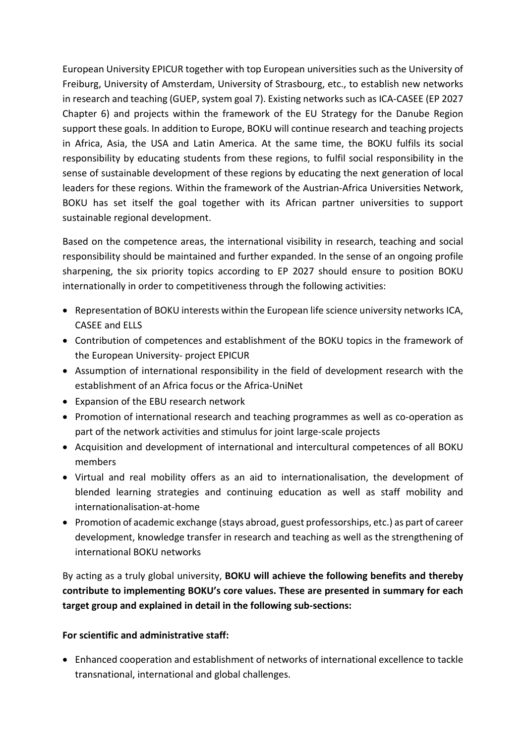European University EPICUR together with top European universities such as the University of Freiburg, University of Amsterdam, University of Strasbourg, etc., to establish new networks in research and teaching (GUEP, system goal 7). Existing networks such as ICA-CASEE (EP 2027 Chapter 6) and projects within the framework of the EU Strategy for the Danube Region support these goals. In addition to Europe, BOKU will continue research and teaching projects in Africa, Asia, the USA and Latin America. At the same time, the BOKU fulfils its social responsibility by educating students from these regions, to fulfil social responsibility in the sense of sustainable development of these regions by educating the next generation of local leaders for these regions. Within the framework of the Austrian-Africa Universities Network, BOKU has set itself the goal together with its African partner universities to support sustainable regional development.

Based on the competence areas, the international visibility in research, teaching and social responsibility should be maintained and further expanded. In the sense of an ongoing profile sharpening, the six priority topics according to EP 2027 should ensure to position BOKU internationally in order to competitiveness through the following activities:

- Representation of BOKU interests within the European life science university networks ICA, CASEE and ELLS
- Contribution of competences and establishment of the BOKU topics in the framework of the European University- project EPICUR
- Assumption of international responsibility in the field of development research with the establishment of an Africa focus or the Africa-UniNet
- Expansion of the EBU research network
- Promotion of international research and teaching programmes as well as co-operation as part of the network activities and stimulus for joint large-scale projects
- Acquisition and development of international and intercultural competences of all BOKU members
- Virtual and real mobility offers as an aid to internationalisation, the development of blended learning strategies and continuing education as well as staff mobility and internationalisation-at-home
- Promotion of academic exchange (stays abroad, guest professorships, etc.) as part of career development, knowledge transfer in research and teaching as well as the strengthening of international BOKU networks

By acting as a truly global university, **BOKU will achieve the following benefits and thereby contribute to implementing BOKU's core values. These are presented in summary for each target group and explained in detail in the following sub-sections:**

### **For scientific and administrative staff:**

• Enhanced cooperation and establishment of networks of international excellence to tackle transnational, international and global challenges.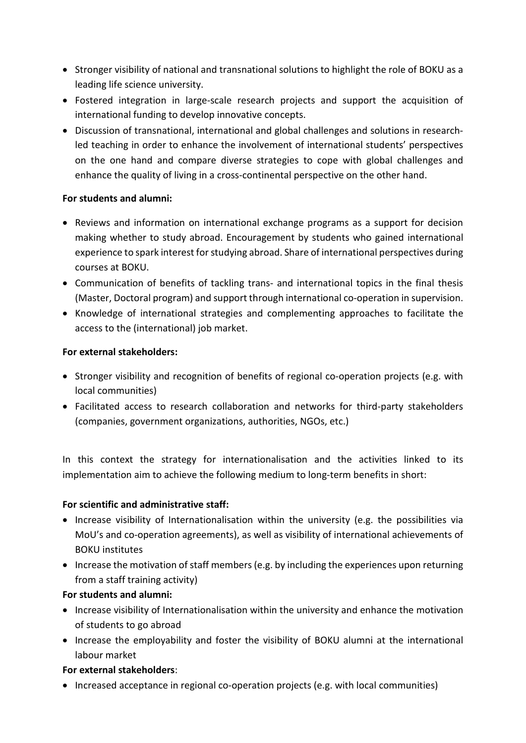- Stronger visibility of national and transnational solutions to highlight the role of BOKU as a leading life science university.
- Fostered integration in large-scale research projects and support the acquisition of international funding to develop innovative concepts.
- Discussion of transnational, international and global challenges and solutions in researchled teaching in order to enhance the involvement of international students' perspectives on the one hand and compare diverse strategies to cope with global challenges and enhance the quality of living in a cross-continental perspective on the other hand.

### **For students and alumni:**

- Reviews and information on international exchange programs as a support for decision making whether to study abroad. Encouragement by students who gained international experience to spark interest for studying abroad. Share of international perspectives during courses at BOKU.
- Communication of benefits of tackling trans- and international topics in the final thesis (Master, Doctoral program) and support through international co-operation in supervision.
- Knowledge of international strategies and complementing approaches to facilitate the access to the (international) job market.

#### **For external stakeholders:**

- Stronger visibility and recognition of benefits of regional co-operation projects (e.g. with local communities)
- Facilitated access to research collaboration and networks for third-party stakeholders (companies, government organizations, authorities, NGOs, etc.)

In this context the strategy for internationalisation and the activities linked to its implementation aim to achieve the following medium to long-term benefits in short:

### **For scientific and administrative staff:**

- Increase visibility of Internationalisation within the university (e.g. the possibilities via MoU's and co-operation agreements), as well as visibility of international achievements of BOKU institutes
- Increase the motivation of staff members (e.g. by including the experiences upon returning from a staff training activity)

### **For students and alumni:**

- Increase visibility of Internationalisation within the university and enhance the motivation of students to go abroad
- Increase the employability and foster the visibility of BOKU alumni at the international labour market

### **For external stakeholders**:

• Increased acceptance in regional co-operation projects (e.g. with local communities)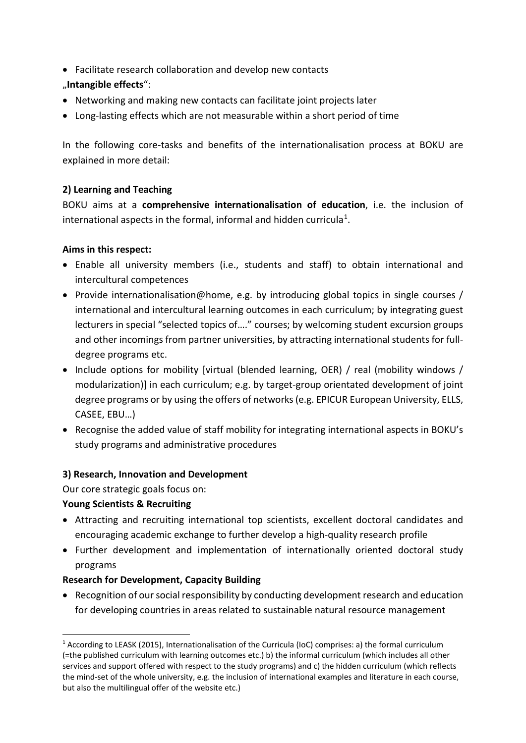• Facilitate research collaboration and develop new contacts

### "**Intangible effects**":

- Networking and making new contacts can facilitate joint projects later
- Long-lasting effects which are not measurable within a short period of time

In the following core-tasks and benefits of the internationalisation process at BOKU are explained in more detail:

# **2) Learning and Teaching**

BOKU aims at a **comprehensive internationalisation of education**, i.e. the inclusion of international aspects in the formal, informal and hidden curricula<sup>1</sup>.

### **Aims in this respect:**

- Enable all university members (i.e., students and staff) to obtain international and intercultural competences
- Provide internationalisation@home, e.g. by introducing global topics in single courses / international and intercultural learning outcomes in each curriculum; by integrating guest lecturers in special "selected topics of…." courses; by welcoming student excursion groups and other incomings from partner universities, by attracting international students for fulldegree programs etc.
- Include options for mobility [virtual (blended learning, OER) / real (mobility windows / modularization)] in each curriculum; e.g. by target-group orientated development of joint degree programs or by using the offers of networks (e.g. EPICUR European University, ELLS, CASEE, EBU…)
- Recognise the added value of staff mobility for integrating international aspects in BOKU's study programs and administrative procedures

# **3) Research, Innovation and Development**

Our core strategic goals focus on:

# **Young Scientists & Recruiting**

- Attracting and recruiting international top scientists, excellent doctoral candidates and encouraging academic exchange to further develop a high-quality research profile
- Further development and implementation of internationally oriented doctoral study programs

# **Research for Development, Capacity Building**

• Recognition of our social responsibility by conducting development research and education for developing countries in areas related to sustainable natural resource management

<span id="page-4-0"></span> <sup>1</sup> According to LEASK (2015), Internationalisation of the Curricula (IoC) comprises: a) the formal curriculum (=the published curriculum with learning outcomes etc.) b) the informal curriculum (which includes all other services and support offered with respect to the study programs) and c) the hidden curriculum (which reflects the mind-set of the whole university, e.g. the inclusion of international examples and literature in each course, but also the multilingual offer of the website etc.)